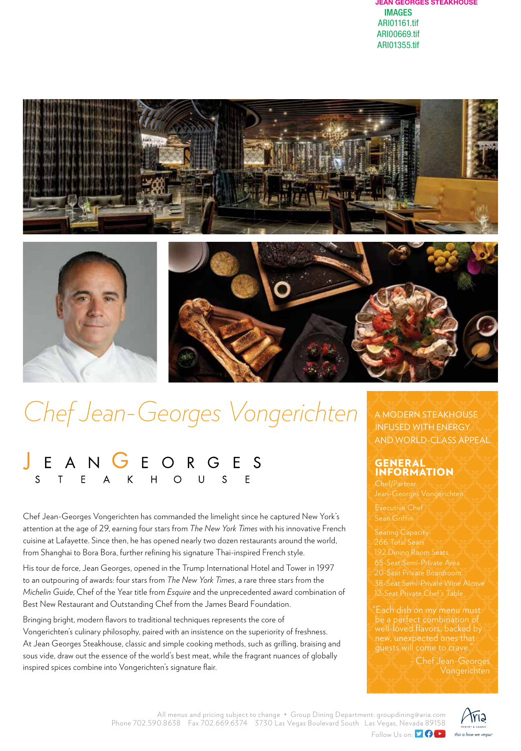





## *Chef Jean-Georges Vongerichten*

## EANGEORGES<br>STEAKHOUSE

Chef Jean-Georges Vongerichten has commanded the limelight since he captured New York's attention at the age of 29, earning four stars from *The New York Times* with his innovative French cuisine at Lafayette. Since then, he has opened nearly two dozen restaurants around the world, from Shanghai to Bora Bora, further refining his signature Thai-inspired French style.

His tour de force, Jean Georges, opened in the Trump International Hotel and Tower in 1997 to an outpouring of awards: four stars from *The New York Times*, a rare three stars from the *Michelin Guide*, Chef of the Year title from *Esquire* and the unprecedented award combination of Best New Restaurant and Outstanding Chef from the James Beard Foundation.

Bringing bright, modern flavors to traditional techniques represents the core of Vongerichten's culinary philosophy, paired with an insistence on the superiority of freshness. At Jean Georges Steakhouse, classic and simple cooking methods, such as grilling, braising and sous vide, draw out the essence of the world's best meat, while the fragrant nuances of globally inspired spices combine into Vongerichten's signature flair.

## A MODERN STEAKHOUSE INFUSED WITH ENERGY AND WORLD-CLASS APPEAL

## GENERAL INFORMATION

Executive Chef

266 Total Seats 192 Dining Room Seats 65-Seat Semi-Private Area 20-Seat Private Boardroom 12-Seat Private Chef's Table

"Each dish on my menu must be a perfect combination of well-loved flavors, backed by new, unexpected ones that guests will come to crave."

> - Chef Jean-Georges Vongerichten

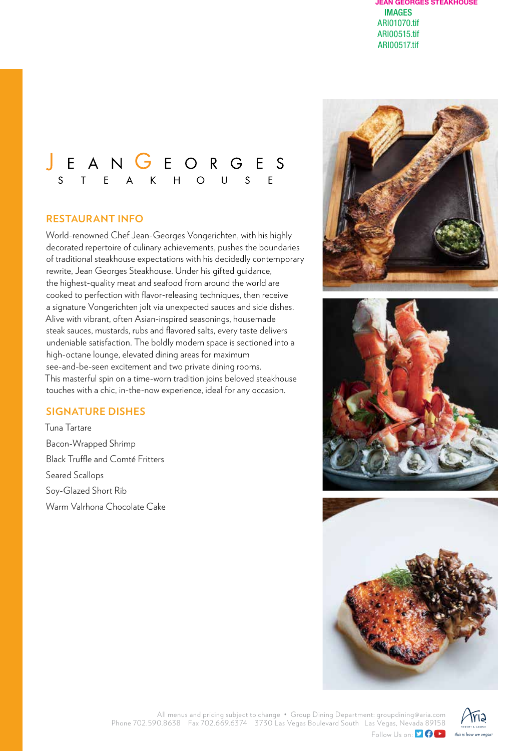# JEANGEORGES<br>STEAKHOUSE

## **RESTAURANT INFO**

World-renowned Chef Jean-Georges Vongerichten, with his highly decorated repertoire of culinary achievements, pushes the boundaries of traditional steakhouse expectations with his decidedly contemporary rewrite, Jean Georges Steakhouse. Under his gifted guidance, the highest-quality meat and seafood from around the world are cooked to perfection with flavor-releasing techniques, then receive a signature Vongerichten jolt via unexpected sauces and side dishes. Alive with vibrant, often Asian-inspired seasonings, housemade steak sauces, mustards, rubs and flavored salts, every taste delivers undeniable satisfaction. The boldly modern space is sectioned into a high-octane lounge, elevated dining areas for maximum see-and-be-seen excitement and two private dining rooms. This masterful spin on a time-worn tradition joins beloved steakhouse touches with a chic, in-the-now experience, ideal for any occasion.

## **SIGNATURE DISHES**

Tuna Tartare Bacon-Wrapped Shrimp Black Truffle and Comté Fritters Seared Scallops Soy-Glazed Short Rib Warm Valrhona Chocolate Cake







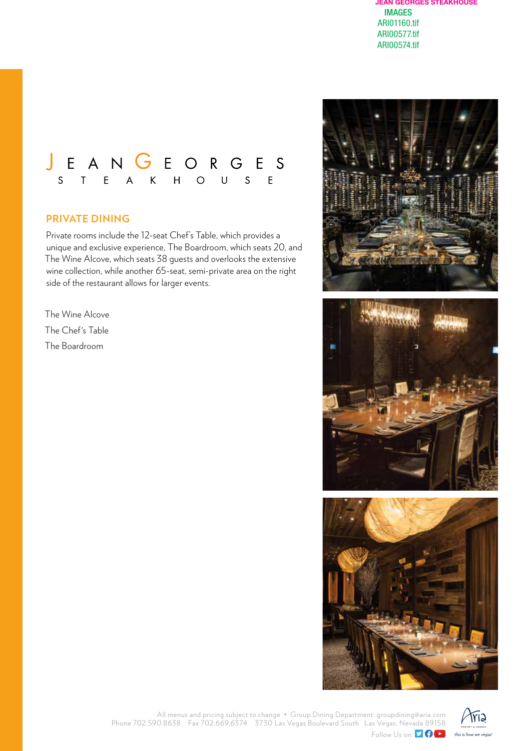

### **PRIVATE DINING**

Private rooms include the 12-seat Chef's Table, which provides a unique and exclusive experience, The Boardroom, which seats 20, and The Wine Alcove, which seats 38 guests and overlooks the extensive wine collection, while another 65-seat, semi-private area on the right side of the restaurant allows for larger events.

The Wine Alcove The Chef's Table The Boardroom







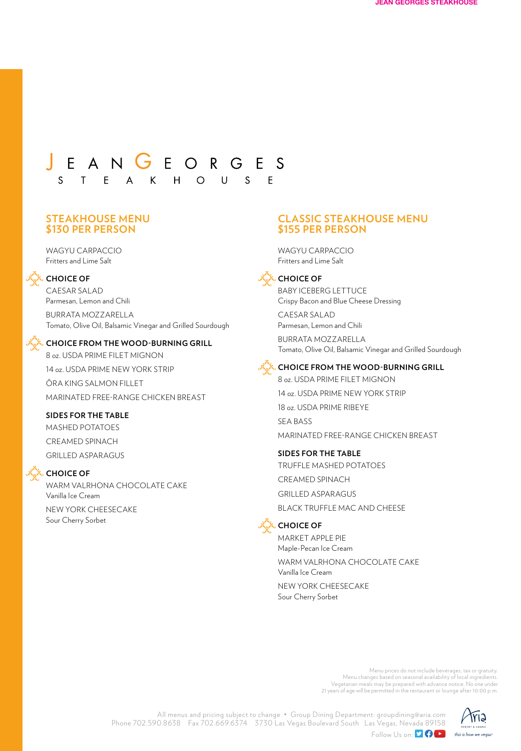## J E A N G E O R G E S S T E A K H O U S  $F$

#### **STEAKHOUSE MENU \$130 PER PERSON**

WAGYU CARPACCIO Fritters and Lime Salt



**CHOICE OF**

CAESAR SALAD Parmesan, Lemon and Chili

BURRATA MOZZARELLA Tomato, Olive Oil, Balsamic Vinegar and Grilled Sourdough

#### **CHOICE FROM THE WOOD-BURNING GRILL**

8 oz. USDA PRIME FILET MIGNON 14 oz. USDA PRIME NEW YORK STRIP ŌRA KING SALMON FILLET MARINATED FREE-RANGE CHICKEN BREAST

#### **SIDES FOR THE TABLE**

MASHED POTATOES CREAMED SPINACH GRILLED ASPARAGUS



## **CHOICE OF**

WARM VALRHONA CHOCOLATE CAKE Vanilla Ice Cream NEW YORK CHEESECAKE Sour Cherry Sorbet

#### **CLASSIC STEAKHOUSE MENU \$155 PER PERSON**

WAGYU CARPACCIO Fritters and Lime Salt



BABY ICEBERG LETTUCE Crispy Bacon and Blue Cheese Dressing

CAESAR SALAD Parmesan, Lemon and Chili

BURRATA MOZZARELLA Tomato, Olive Oil, Balsamic Vinegar and Grilled Sourdough



**CHOICE FROM THE WOOD-BURNING GRILL**

8 oz. USDA PRIME FILET MIGNON 14 oz. USDA PRIME NEW YORK STRIP 18 oz. USDA PRIME RIBEYE SEA BASS MARINATED FREE-RANGE CHICKEN BREAST

#### **SIDES FOR THE TABLE**

TRUFFLE MASHED POTATOES CREAMED SPINACH GRILLED ASPARAGUS BLACK TRUFFLE MAC AND CHEESE



**CHOICE OF**

MARKET APPLE PIE Maple-Pecan Ice Cream WARM VALRHONA CHOCOLATE CAKE Vanilla Ice Cream

NEW YORK CHEESECAKE Sour Cherry Sorbet

> Menu prices do not include beverages, tax or gratuity. Menu changes based on seasonal availability of local ingredients. Vegetarian meals may be prepared with advance notice. No one under 21 years of age will be permitted in the restaurant or lounge after 10:00 p.m.